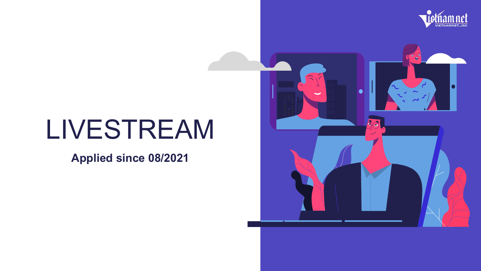

# LIVESTREAM

**Applied since 08/2021**

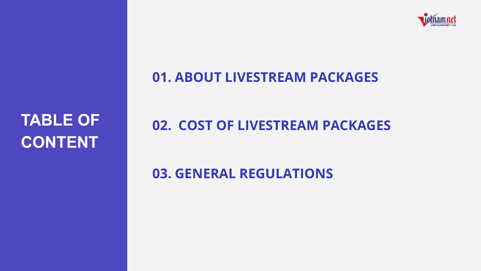

## **TABLE OF CONTENT**

#### AM PA Quy địa thành chung điện thuyết thuyết thuyết thuyết thuyết thuyết thuyết thuyết thuyết thuyết thuyết thuyết th<br>Thuyết thuyết thuyết thuyết thuyết thuyết thuyết thuyết thuyết thuyết thuyết thuyết thuyết thuyết thuyết thuyế **01. ABOUT LIVESTREAM PACKAGES**

# **02. COST OF LIVESTREAM PACKAGES**

# 04 **03. GENERAL REGULATIONS**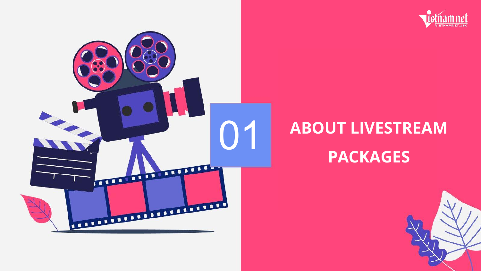



# 01 **ABOUT LIVESTREAM PACKAGES**

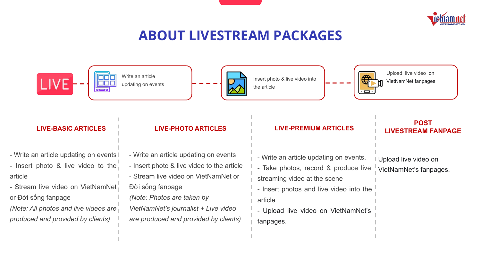

### **ABOUT LIVESTREAM PACKAGES**



#### **LIVE-BASIC ARTICLES**

- Write an article updating on events! - Insert photo & live video to the article
- Stream live video on VietNamNet or Đời sống fanpage
- *(Note: All photos and live videos are produced and provided by clients)*

- Write an article updating on events
- Insert photo & live video to the article
- Stream live video on VietNamNet or Đời sống fanpage
- *(Note: Photos are taken by VietNamNet's journalist + Live video are produced and provided by clients)*

#### **LIVE-PHOTO ARTICLES LIVE-PREMIUM ARTICLES**

- Write an article updating on events. - Take photos, record & produce live

streaming video at the scene

- Insert photos and live video into the article
- Upload live video on VietNamNet's fanpages.

#### **POST LIVESTREAM FANPAGE**

Upload live video on VietNamNet's fanpages.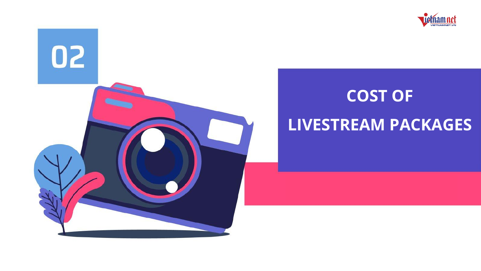



# **COST OF LIVESTREAM PACKAGES**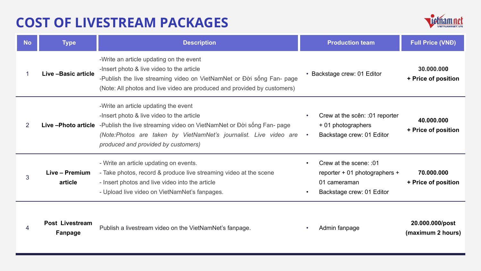## **COST OF LIVESTREAM PACKAGES**



| <b>No</b> | <b>Type</b>                | <b>Description</b>                                                                                                                                                                                                                                                                         | <b>Production team</b>                                                                                    | <b>Full Price (VNĐ)</b>              |
|-----------|----------------------------|--------------------------------------------------------------------------------------------------------------------------------------------------------------------------------------------------------------------------------------------------------------------------------------------|-----------------------------------------------------------------------------------------------------------|--------------------------------------|
|           | Live - Basic article       | -Write an article updating on the event<br>-Insert photo & live video to the article<br>-Publish the live streaming video on VietNamNet or Đời sống Fan- page<br>(Note: All photos and live video are produced and provided by customers)                                                  | • Backstage crew: 01 Editor                                                                               | 30.000.000<br>+ Price of position    |
| 2         |                            | -Write an article updating the event<br>-Insert photo & live video to the article<br>Live -Photo article -Publish the live streaming video on VietNamNet or Đời sống Fan- page<br>(Note:Photos are taken by VietNamNet's journalist. Live video are<br>produced and provided by customers) | Crew at the scên: :01 reporter<br>٠<br>+ 01 photographers<br>Backstage crew: 01 Editor<br>$\sim$          | 40.000.000<br>+ Price of position    |
| 3         | Live - Premium<br>article  | - Write an article updating on events.<br>- Take photos, record & produce live streaming video at the scene<br>- Insert photos and live video into the article<br>- Upload live video on VietNamNet's fanpages.                                                                            | Crew at the scene: :01<br>٠<br>reporter + 01 photographers +<br>01 cameraman<br>Backstage crew: 01 Editor | 70.000.000<br>+ Price of position    |
|           | Post Livestream<br>Fanpage | Publish a livestream video on the VietNamNet's fanpage.                                                                                                                                                                                                                                    | Admin fanpage                                                                                             | 20.000.000/post<br>(maximum 2 hours) |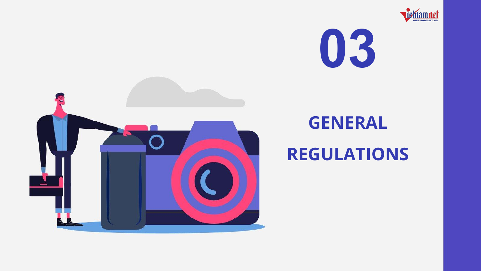





## **GENERAL**

## **REGULATIONS**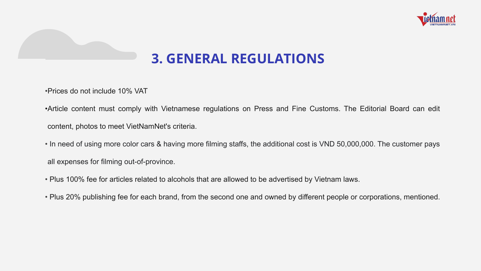

## **3. GENERAL REGULATIONS**

•Prices do not include 10% VAT

•Article content must comply with Vietnamese regulations on Press and Fine Customs. The Editorial Board can edit content, photos to meet VietNamNet's criteria.

• In need of using more color cars & having more filming staffs, the additional cost is VND 50,000,000. The customer pays all expenses for filming out-of-province.

- Plus 100% fee for articles related to alcohols that are allowed to be advertised by Vietnam laws.
- Plus 20% publishing fee for each brand, from the second one and owned by different people or corporations, mentioned.